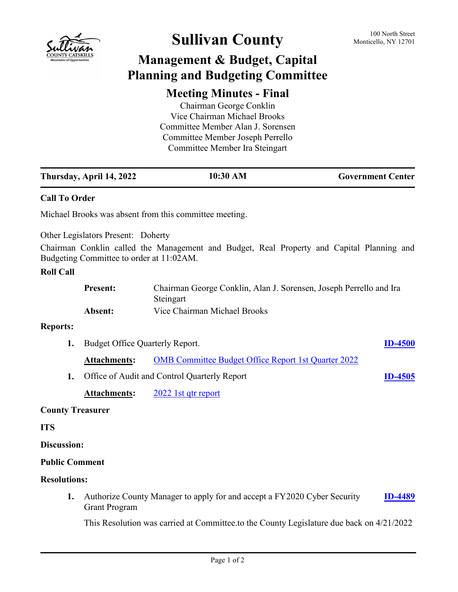

## Sullivan County 100 North Street

## **Management & Budget, Capital Planning and Budgeting Committee**

## **Meeting Minutes - Final**

Chairman George Conklin Vice Chairman Michael Brooks Committee Member Alan J. Sorensen Committee Member Joseph Perrello Committee Member Ira Steingart

|                         | Thursday, April 14, 2022                                                                                                                                                                                         | 10:30 AM                                                                                  | <b>Government Center</b> |
|-------------------------|------------------------------------------------------------------------------------------------------------------------------------------------------------------------------------------------------------------|-------------------------------------------------------------------------------------------|--------------------------|
| <b>Call To Order</b>    |                                                                                                                                                                                                                  |                                                                                           |                          |
|                         |                                                                                                                                                                                                                  | Michael Brooks was absent from this committee meeting.                                    |                          |
|                         | <b>Other Legislators Present: Doherty</b><br>Budgeting Committee to order at 11:02AM.                                                                                                                            | Chairman Conklin called the Management and Budget, Real Property and Capital Planning and |                          |
| <b>Roll Call</b>        |                                                                                                                                                                                                                  |                                                                                           |                          |
|                         | <b>Present:</b>                                                                                                                                                                                                  | Chairman George Conklin, Alan J. Sorensen, Joseph Perrello and Ira<br>Steingart           |                          |
|                         | Absent:                                                                                                                                                                                                          | Vice Chairman Michael Brooks                                                              |                          |
| <b>Reports:</b>         |                                                                                                                                                                                                                  |                                                                                           |                          |
| 1.                      | Budget Office Quarterly Report.                                                                                                                                                                                  |                                                                                           | <b>ID-4500</b>           |
|                         | <b>Attachments:</b>                                                                                                                                                                                              | <b>OMB</b> Committee Budget Office Report 1st Quarter 2022                                |                          |
| 1.                      | Office of Audit and Control Quarterly Report                                                                                                                                                                     |                                                                                           | <b>ID-4505</b>           |
|                         | <b>Attachments:</b>                                                                                                                                                                                              | 2022 1st qtr report                                                                       |                          |
| <b>County Treasurer</b> |                                                                                                                                                                                                                  |                                                                                           |                          |
| <b>ITS</b>              |                                                                                                                                                                                                                  |                                                                                           |                          |
| <b>Discussion:</b>      |                                                                                                                                                                                                                  |                                                                                           |                          |
| <b>Public Comment</b>   |                                                                                                                                                                                                                  |                                                                                           |                          |
| <b>Resolutions:</b>     |                                                                                                                                                                                                                  |                                                                                           |                          |
| 1.                      | Authorize County Manager to apply for and accept a FY2020 Cyber Security<br><b>ID-4489</b><br><b>Grant Program</b><br>This Resolution was carried at Committee to the County Legislature due back on $4/21/2022$ |                                                                                           |                          |
|                         |                                                                                                                                                                                                                  |                                                                                           |                          |